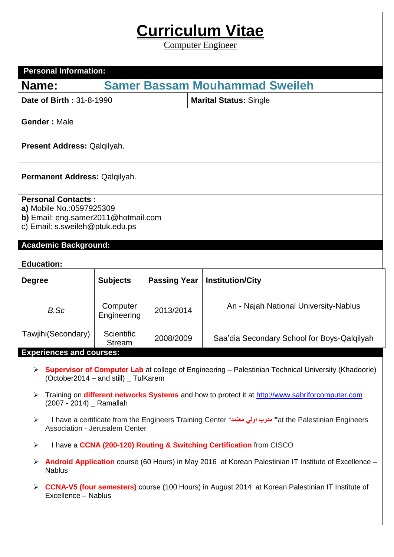## **Curriculum Vitae**

Computer Engineer

| <b>Personal Information:</b>                                                                                                                                    |                                                                                                         |                     |                                             |  |  |  |  |
|-----------------------------------------------------------------------------------------------------------------------------------------------------------------|---------------------------------------------------------------------------------------------------------|---------------------|---------------------------------------------|--|--|--|--|
| Name:                                                                                                                                                           | <b>Samer Bassam Mouhammad Sweileh</b>                                                                   |                     |                                             |  |  |  |  |
| Date of Birth: 31-8-1990                                                                                                                                        |                                                                                                         |                     | <b>Marital Status: Single</b>               |  |  |  |  |
| <b>Gender: Male</b>                                                                                                                                             |                                                                                                         |                     |                                             |  |  |  |  |
| Present Address: Qalqilyah.                                                                                                                                     |                                                                                                         |                     |                                             |  |  |  |  |
| Permanent Address: Qalqilyah.                                                                                                                                   |                                                                                                         |                     |                                             |  |  |  |  |
| <b>Personal Contacts:</b><br>a) Mobile No.: 0597925309<br>b) Email: eng.samer2011@hotmail.com<br>c) Email: s.sweileh@ptuk.edu.ps<br><b>Academic Background:</b> |                                                                                                         |                     |                                             |  |  |  |  |
| <b>Education:</b>                                                                                                                                               |                                                                                                         |                     |                                             |  |  |  |  |
| <b>Degree</b>                                                                                                                                                   | <b>Subjects</b>                                                                                         | <b>Passing Year</b> | <b>Institution/City</b>                     |  |  |  |  |
| B.Sc                                                                                                                                                            | Computer<br>Engineering                                                                                 | 2013/2014           | An - Najah National University-Nablus       |  |  |  |  |
| Tawjihi(Secondary)                                                                                                                                              | Scientific<br><b>Stream</b>                                                                             | 2008/2009           | Saa'dia Secondary School for Boys-Qalqilyah |  |  |  |  |
| <b>Experiences and courses:</b>                                                                                                                                 |                                                                                                         |                     |                                             |  |  |  |  |
| <b>Supervisor of Computer Lab</b> at college of Engineering – Palestinian Technical University (Khadoorie)<br>➤<br>(October2014 – and still) _ TulKarem         |                                                                                                         |                     |                                             |  |  |  |  |
| Training on different networks Systems and how to protect it at http://www.sabriforcomputer.com<br>➤<br>(2007 - 2014) _ Ramallah                                |                                                                                                         |                     |                                             |  |  |  |  |
| at the Palestinian Engineers "دمرب اولی معتمد" I have a certificate from the Engineers Training Center<br>➤<br>Association - Jerusalem Center                   |                                                                                                         |                     |                                             |  |  |  |  |
| I have a CCNA (200-120) Routing & Switching Certification from CISCO<br>$\blacktriangleright$                                                                   |                                                                                                         |                     |                                             |  |  |  |  |
| Android Application course (60 Hours) in May 2016 at Korean Palestinian IT Institute of Excellence -<br>➤<br><b>Nablus</b>                                      |                                                                                                         |                     |                                             |  |  |  |  |
| ➤                                                                                                                                                               | <b>CCNA-V5 (four semesters)</b> course (100 Hours) in August 2014 at Korean Palestinian IT Institute of |                     |                                             |  |  |  |  |

Excellence – Nablus